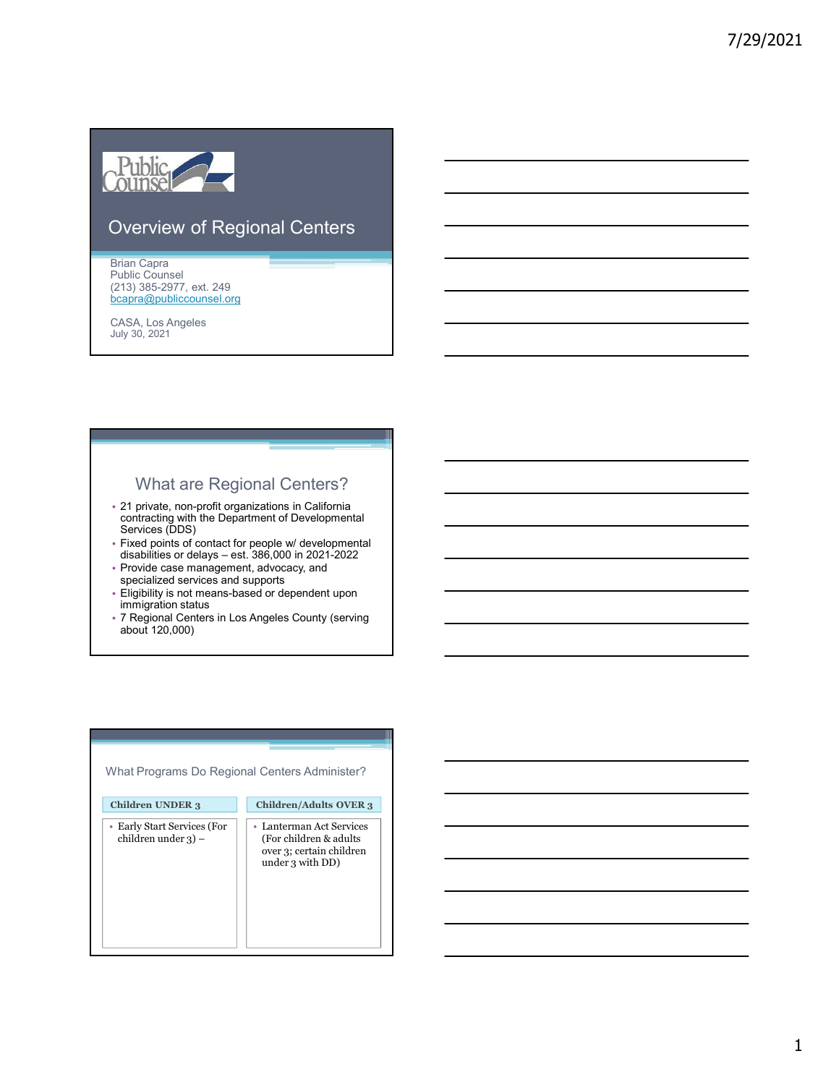

### Overview of Regional Centers

Brian Capra Public Counsel (213) 385-2977, ext. 249 bcapra@publiccounsel.org

CASA, Los Angeles July 30, 2021

### What are Regional Centers?

- 21 private, non-profit organizations in California contracting with the Department of Developmental Services (DDS) verview of Regional Centers<br>
Man Capra<br>
Dhis Counsel<br>
25) S65-2977, ext. 246<br>
25) S65-2977, ext. 246<br>
358, Los Angeles<br>
358, Los Angeles<br>
36, No. 2021<br>
21 private, non-profit organizations in California<br>
Services (DDS)<br>
21
- Fixed points of contact for people w/ developmental<br>disabilities or delays est. 386,000 in 2021-2022
- Provide case management, advocacy, and specialized services and supports **and the service of the service of the service** of  $\vert$
- Eligibility is not means-based or dependent upon immigration status
- 7 Regional Centers in Los Angeles County (serving about 120,000)

| What Programs Do Regional Centers Administer?         |                                                                                                     |
|-------------------------------------------------------|-----------------------------------------------------------------------------------------------------|
| <b>Children UNDER 3</b>                               | <b>Children/Adults OVER 3</b>                                                                       |
| • Early Start Services (For<br>children under $3$ ) – | • Lanterman Act Services<br>(For children & adults)<br>over 3; certain children<br>under 3 with DD) |

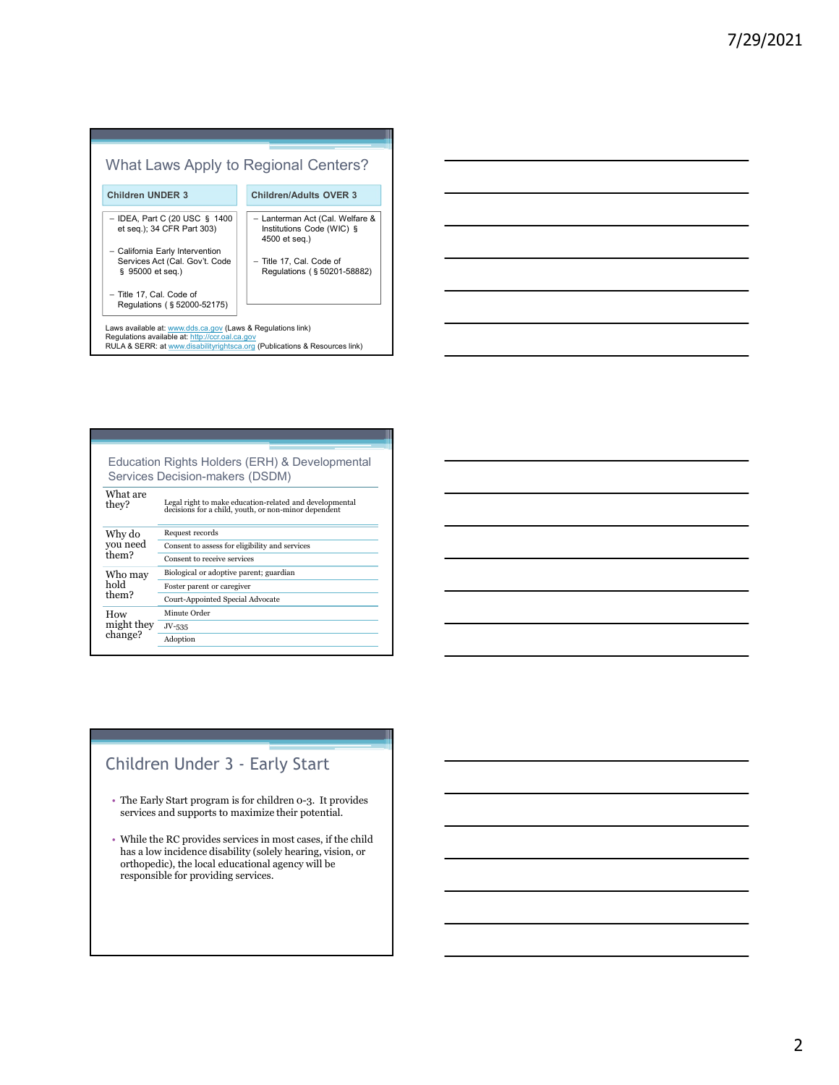# What Laws Apply to Regional Centers? Children UNDER 3 Children/Adults OVER 3 – IDEA, Part C (20 USC § 1400 Institutions Code (WIC) § - IDEA, Part C (20 USC § 1400<br>et seq.); 34 CFR Part 303) – California Early Intervention Services Act (Cal. Gov't. Code § 95000 et seq.) Regulations (§50201-58882) – Title 17, Cal. Code of Regulations (§ 52000-52175)<br>
Regulations (§ 52000-52175)<br>
Regulations (€ 2000-52175)<br>
Elect (2000-52175)<br>
California Early Intervention<br>
Server Act (Cal. Welfare & Act (2000-52175)<br>
Francisco Act (Cal. Code of Prince Cal 4500 et seq.) – Title 17, Cal. Code of Laws available at: <u>www.dds.ca.gov</u> (Laws & Regulations link)<br>Regulations available at: <u>http://ccr.oal.ca.gov</u><br>RULA & SERR: at www.disabilityrightsca.org (Publications & Resources link)

| Education Rights Holders (ERH) & Developmental<br>Services Decision-makers (DSDM) |                                                                                                                            |
|-----------------------------------------------------------------------------------|----------------------------------------------------------------------------------------------------------------------------|
| What are<br>they?                                                                 | Legal right to make education-related and developmental decisions for a child, youth, or non-minor dependent               |
| Why do<br>you need<br>them?                                                       | Request records                                                                                                            |
|                                                                                   | Consent to assess for eligibility and services                                                                             |
|                                                                                   | Consent to receive services                                                                                                |
| Who may<br>hold<br>them?                                                          | Biological or adoptive parent; guardian                                                                                    |
|                                                                                   | Foster parent or caregiver                                                                                                 |
|                                                                                   | Court-Appointed Special Advocate                                                                                           |
| How<br>might they<br>change?                                                      | Minute Order                                                                                                               |
|                                                                                   | $JV-535$                                                                                                                   |
|                                                                                   | Adoption                                                                                                                   |
|                                                                                   |                                                                                                                            |
|                                                                                   |                                                                                                                            |
|                                                                                   |                                                                                                                            |
|                                                                                   |                                                                                                                            |
|                                                                                   |                                                                                                                            |
|                                                                                   |                                                                                                                            |
|                                                                                   |                                                                                                                            |
|                                                                                   |                                                                                                                            |
|                                                                                   | Children Under 3 - Early Start                                                                                             |
|                                                                                   |                                                                                                                            |
|                                                                                   | • The Early Start program is for children 0-3. It provides<br>services and supports to maximize their potential.           |
|                                                                                   |                                                                                                                            |
|                                                                                   | • While the RC provides services in most cases, if the child<br>has a low incidence disability (solely hearing, vision, or |

- The Early Start program is for children 0-3. It provides services and supports to maximize their potential.
- While the RC provides services in most cases, if the child has a low incidence disability (solely hearing, vision, or orthopedic), the local educational agency will be responsible for providing services.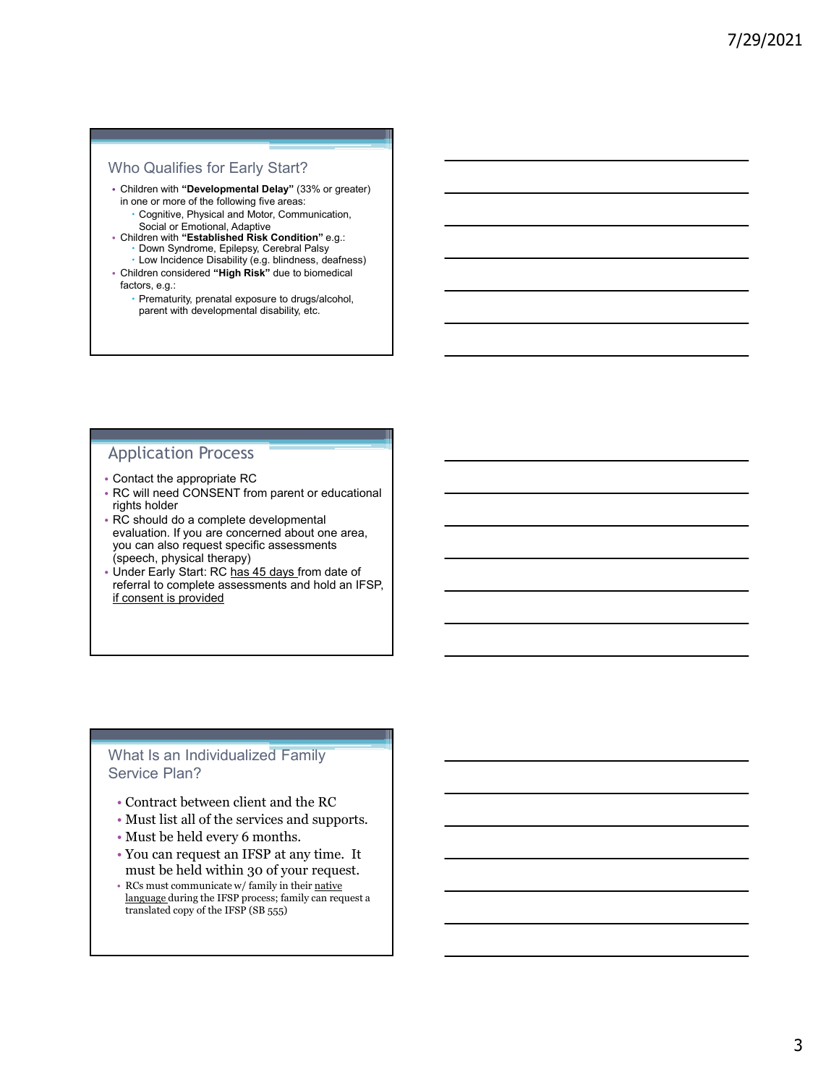### Who Qualifies for Early Start?

- Children with "Developmental Delay" (33% or greater) in one or more of the following five areas:
	- Cognitive, Physical and Motor, Communication, Social or Emotional, Adaptive
- Children with "Established Risk Condition" e.g.: Down Syndrome, Epilepsy, Cerebral Palsy Low Incidence Disability (e.g. blindness, deafness)
- Children considered "High Risk" due to biomedical factors, e.g.:
	- Prematurity, prenatal exposure to drugs/alcohol, parent with developmental disability, etc.

### Application Process

- Contact the appropriate RC
- RC will need CONSENT from parent or educational rights holder
- RC should do a complete developmental evaluation. If you are concerned about one area, you can also request specific assessments (speech, physical therapy)
- Under Early Start: RC has 45 days from date of referral to complete assessments and hold an IFSP, if consent is provided

### What Is an Individualized Family Service Plan?

- Contract between client and the RC
- Must list all of the services and supports.
- Must be held every 6 months.
- You can request an IFSP at any time. It must be held within 30 of your request.
- RCs must communicate w/ family in their native language during the IFSP process; family can request a translated copy of the IFSP (SB 555)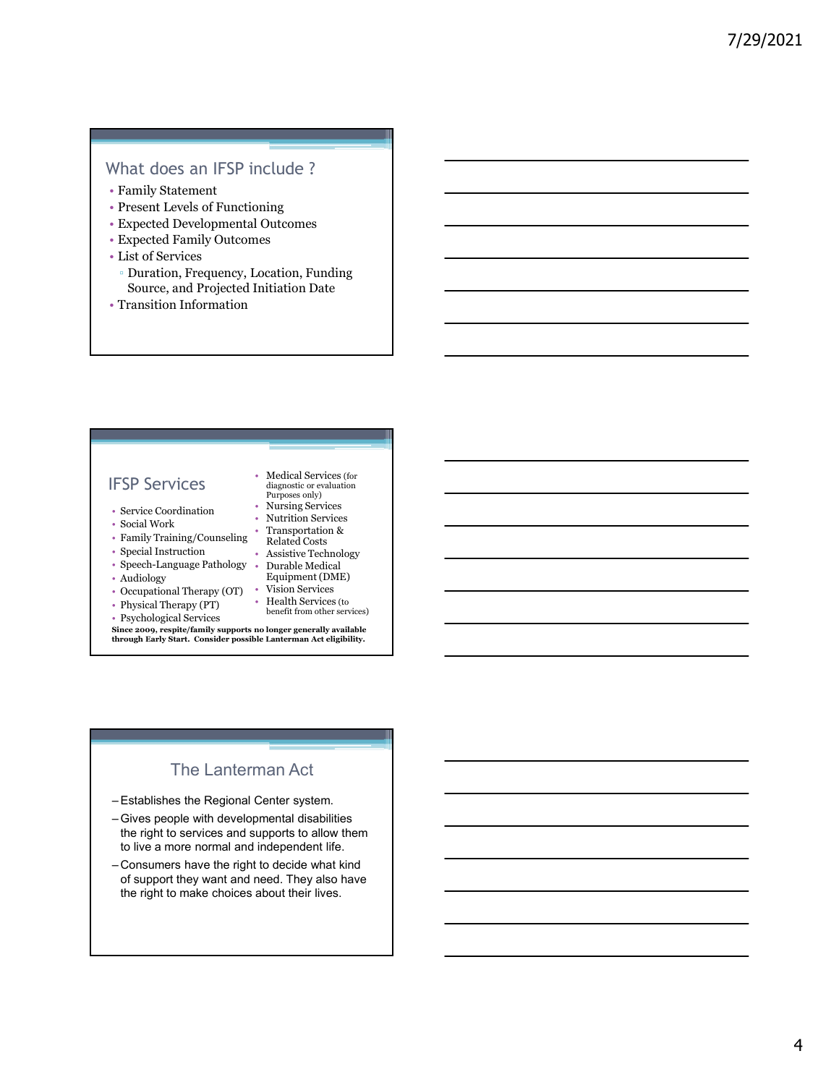### What does an IFSP include ?

- Family Statement
- Present Levels of Functioning
- Expected Developmental Outcomes
- Expected Family Outcomes
- List of Services
- Duration, Frequency, Location, Funding Source, and Projected Initiation Date
- Transition Information

### IFSP Services  $\frac{d}{dt}$  diagnostic or evaluation

- Service Coordination
- Social Work
- Family Training/Counseling
- Special Instruction Assistive Technology **Constant Constant Constant Constant Constant Constant Constant Constant Constant Constant Constant Constant Constant Constant Constant Constant Constant Constant Constant Const**
- Speech-Language Pathology Audiology Durable Medical
- 
- Occupational Therapy (OT) Vision Services and the contract of the contract of the contract of the contract of the contract of the contract of the contract of the contract of the contract of the contract of the contract
- Physical Therapy (PT)
- Psychological Services
- Nursing Services • Nutrition Services

• Medical Services (for

- 
- Transportation & Related Costs
- - Equipment (DME)
	- Health Services (to
	- benefit from other services)

Since 2009, respite/family supports no longer generally available<br>through Early Start. Consider possible Lanterman Act eligibility. Source, and Projected Initiation Date<br>
Transition Information<br>
The Consider Consider a consideration<br>
Starte-Consider a consider a consider a considered by the Starte-Consider<br>
Starte-Consider a Kursing Sevice Consider a S

### The Lanterman Act

- 
- FSP Services<br>
(diagnostic or evaluation<br>
service Coordination<br>
 Nursing Services<br>
 Social Work<br>
 Ramsportation & Transportation &<br>
 Femaly Training/Counseling Related Costs<br>
 Speech Langtunge Pathology<br>
 Assistive the right to services and supports to allow them to live a more normal and independent life.
- FSP Services<br>
 Medical Services of the columns of the stress calid Work<br>
 Nurtifuon Services<br>
 Social Work<br>
 Family Training/Counseling Transportation &<br>
 Special Instruction are Sheeken Fouring Counseling Relat - Service Cordination<br>
- Social Work<br>
- Social Mork<br>
- Tamsportation & Altertion Services<br>
- Family Training/Counseling - Readard Costs<br>
- Special Instruction - Assistive Technology<br>
- Audiology<br>
- Audiology<br>
- Cocupationa of support they want and need. They also have the right to make choices about their lives.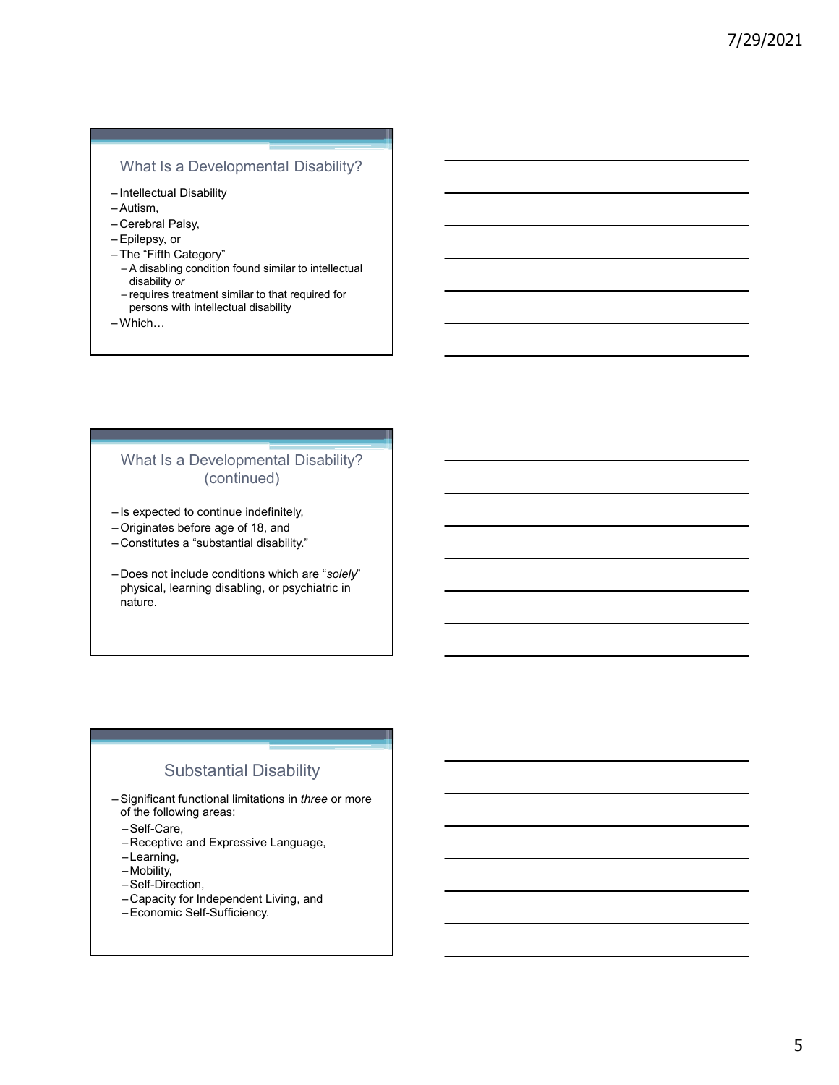### What Is a Developmental Disability?

- 
- 
- 
- 
- 
- What Is a Developmental Disability?<br>
—Intellectual Disability<br>
—Autism,<br>
—Cerebral Palsy,<br>
—Epilepsy, or<br>
—The "Fifth Category"<br>
—A disabiling condition found similar to intellectual<br>
—A disabiling condition found similar What Is a Developmental Disability?<br>
- Intellectual Disability<br>
- Autism,<br>
- Cerebral Palsy, or<br>
- Fighter Category"<br>
- A disability or a disability of the Higher Control of the Higher Category"<br>
- A disability condition f What Is a Developmental Disability?<br>
-Intellectual Disability<br>
-Autism,<br>
-Cerebral Palsy,<br>
-Epilepsy, or<br>
-The "Fifth Category"<br>
-A disability or<br>
-A disability or<br>
-requires treatment similar to that required for<br>
orscons What Is a Developmental Disability?<br>
—Intellectual Disability<br>
—Autism,<br>
—Cerebral Palsy,<br>
—Epilepsy, or<br>
—Epilepsy, or<br>
—The "Fifth Category"<br>
—A disability or<br>
—equires treatment similar to that required for<br>
—erequires What Is a Developmental Disability?<br>
-Intellectual Disability<br>
-Autism,<br>
-Cerebral Palsy,<br>
-Epilepsy, or<br>
-Epileys, or<br>
-A disability or<br>
-The "Fifth Category"<br>
- A disability or the strainent similar to intellectual<br>
-inq What Is a Developmental Disability?<br>
Intellectual Disability<br>
Autism,<br>
Cerebral Palsy,<br>
Epilepsy, or<br>
The "Fifth Category"<br>
- A disabling condition found similar to intellectual<br>
disability or<br>
- requires treatment similar What Is a Developmental Disability?<br>
Intellectual Disability<br>
Autism,<br>
Autism,<br>
Epilepsy, or<br>
The "Fifth Category"<br>
The "Fifth Category"<br>
— requires treatment similar to that required for<br>
— requires treatment similar to t What Is a Developmental Disability?<br>
—Intellectual Disability<br>
—Autism.<br>
—Cerebral Palsy,<br>
—Cerebral Palsy,<br>
—Eplepay, or<br>
—The "Fifth Category"<br>
—A disability or<br>
—A disability or<br>
— dequise tast neutricular to that requi
- persons with intellectual disability
- 

# What Is a Developmental Disability? (continued) What Is a Developmental Disability?<br>
-Intellectual Disability<br>
-Cerebrar Palsy,<br>
-Cerebrar Palsy, or<br>
-Epilepsy, or<br>
-The "Fifth Category"<br>
-The "Fifth Category"<br>
-Epilepsy, or<br>
-Indissibility or with intellectual disabili

- 
- 
- 
- viriat is a Developmentar Disability ?<br>
Intellectual Disability<br>
-Cerebral Palsy, or<br>
-Epilepsy, or<br>
-Epilepsy, or<br>
-The "Fifth Category"<br>
-A disability or ordinal stability of the start of the start of the start of the st -Intellectual Disability<br>
- Cerebral Palsy,<br>
- Cerebral Palsy,<br>
- Cerebral Palsy,<br>
- Firth Category"<br>
- The "Firth" Category"<br>
- The "substantial disability or acquired for<br>
- The disability or acquired for<br>
- The present – Cerebral Palsy, or<br>
– Epilepsy, or<br>
– The "Fifth Category"<br>
– A disability ordition found similar to intellectual<br>
stability or<br>
– requires treatment similar to that required for<br>
persons with intellectual disability<br>
– physical, learning disabling, or psychiatric in nature. What Is a Developmental Disability?<br>
(continued)<br>
-Is expected to continue indefinitely,<br>
-Originates before age of 18, and<br>
-Constitutes a "substantial disability."<br>
-Does not include conditions which are "*solely"*<br>
phys

### Substantial Disability

- of the following areas:
	- –Self-Care,
	- –Receptive and Expressive Language,
	- –Learning,
	- –Mobility,
	- –Self-Direction,
	- –Capacity for Independent Living, and
	- –Economic Self-Sufficiency.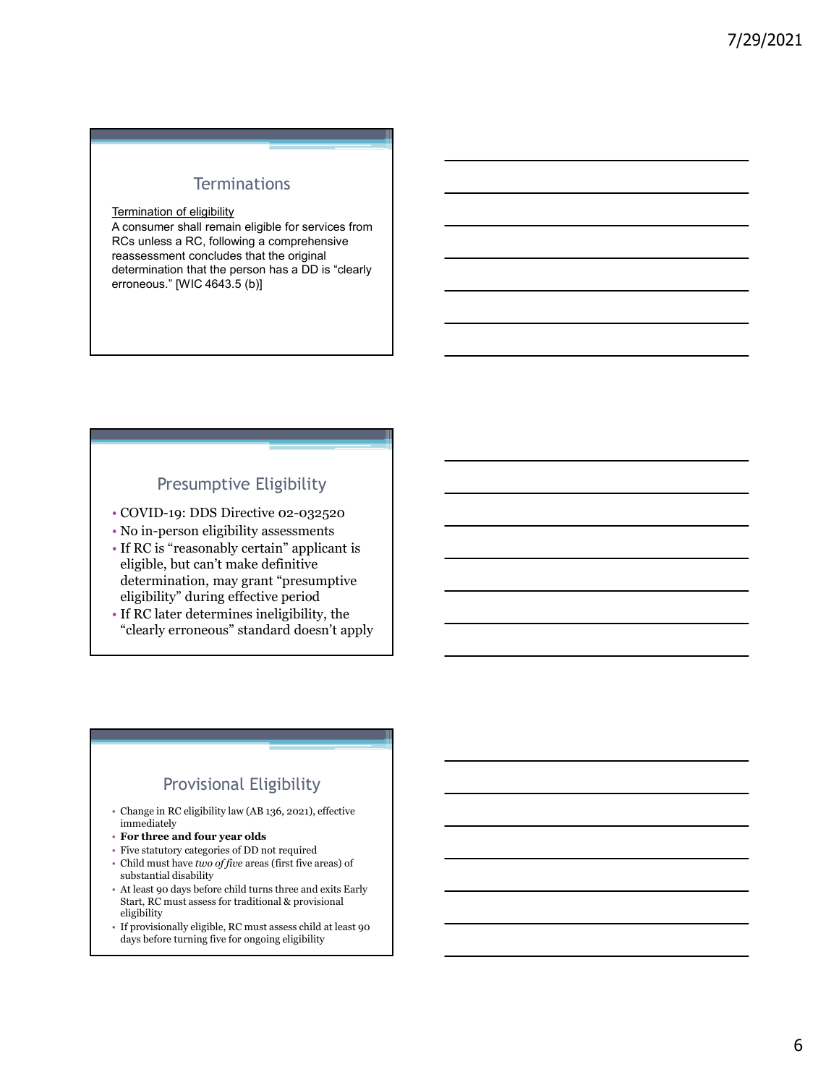### **Terminations**

### Termination of eligibility

A consumer shall remain eligible for services from RCs unless a RC, following a comprehensive reassessment concludes that the original determination that the person has a DD is "clearly erroneous." [WIC 4643.5 (b)]

### Presumptive Eligibility

- COVID-19: DDS Directive 02-032520
- No in-person eligibility assessments
- If RC is "reasonably certain" applicant is eligible, but can't make definitive determination, may grant "presumptive eligibility" during effective period
- If RC later determines ineligibility, the "clearly erroneous" standard doesn't apply

### Provisional Eligibility

- Change in RC eligibility law (AB 136, 2021), effective immediately
- For three and four year olds
- Five statutory categories of DD not required
- Child must have two of five areas (first five areas) of substantial disability
- At least 90 days before child turns three and exits Early Start, RC must assess for traditional & provisional eligibility
- If provisionally eligible, RC must assess child at least 90 days before turning five for ongoing eligibility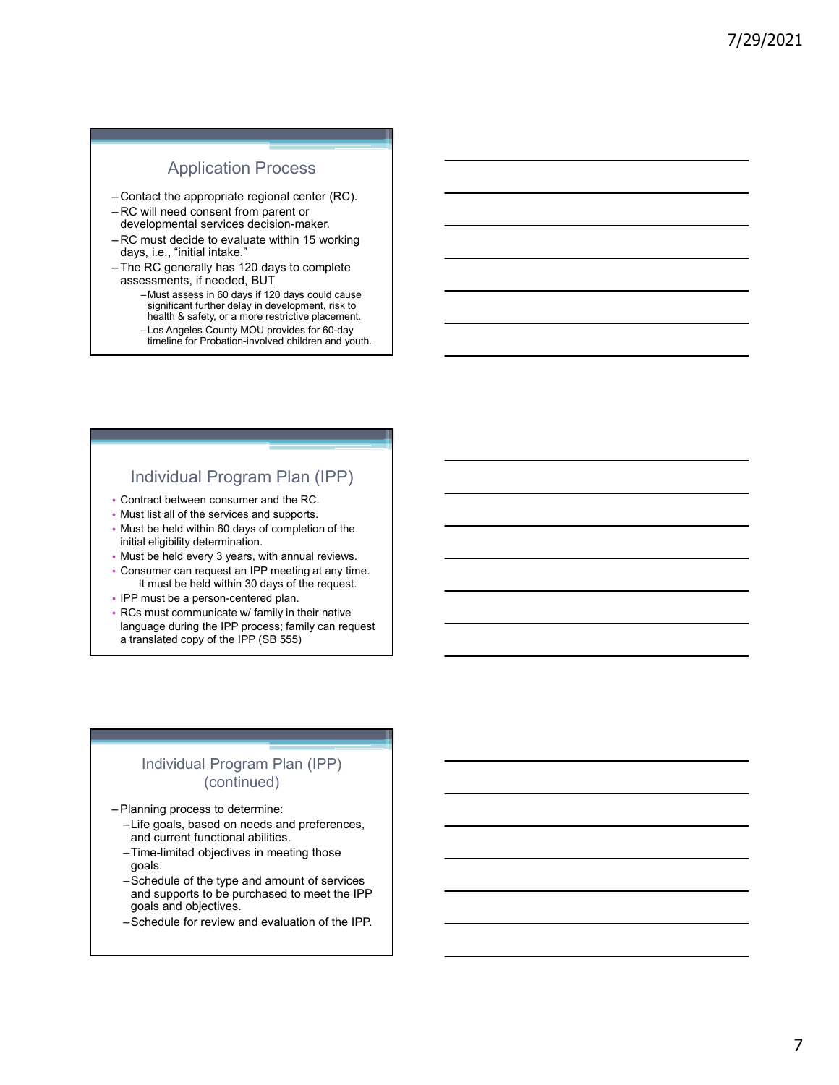### Application Process

- 
- developmental services decision-maker.
- Application Process<br>
 Contact the appropriate regional center (RC).<br>
 RC will need consent from parent or<br>
developmental services decision-maker.<br>
 RC must decide to evaluate within 15 working<br>
days, i.e., "initial inta Application Process<br>
- Contact the appropriate regional center (RC).<br>
- RC will need consent from parent or<br>
developmental services decision-maker.<br>
- RC must decide to evaluate within 15 working<br>
days, i.e., "initial inta days, i.e., "initial intake."
- assessments, if needed, **BUT**
- Application Process<br>
 Contact the appropriate regional center (RC).<br>
 RC will need consent from parent or<br>
developmental services decision-maker.<br>
 RC must decide to evaluate within 15 working<br>
days, i.e., "initial inta Application Process<br>
—Contact the appropriate regional center (RC).<br>
—RC will need consent from parent or<br>
developmental services decision-maker.<br>
—RC must decide to evaluate within 15 working<br>
—The RC generally has 120 da –Must assess in 60 days if 120 days could cause significant further delay in development, risk to health & safety, or a more restrictive placement. –Los Angeles County MOU provides for 60-day
	- timeline for Probation-involved children and youth.

### Individual Program Plan (IPP)

- Contract between consumer and the RC.
- Must list all of the services and supports.
- Must be held within 60 days of completion of the initial eligibility determination.
- Must be held every 3 years, with annual reviews.
- Consumer can request an IPP meeting at any time. It must be held within 30 days of the request.
- IPP must be a person-centered plan.
- RCs must communicate w/ family in their native language during the IPP process; family can request a translated copy of the IPP (SB 555) Individual Program Plan (IPP)<br>
• Contrad between consumer and the RC.<br>
• Must list all of the services and supports.<br>
• Must list all of the services and supports.<br>
• Must be held within 60 days of completion of the<br>
• Mus

### Individual Program Plan (IPP) (continued)

- - –Life goals, based on needs and preferences, and current functional abilities.
	- –Time-limited objectives in meeting those goals.
	- –Schedule of the type and amount of services and supports to be purchased to meet the IPP goals and objectives.
	- –Schedule for review and evaluation of the IPP.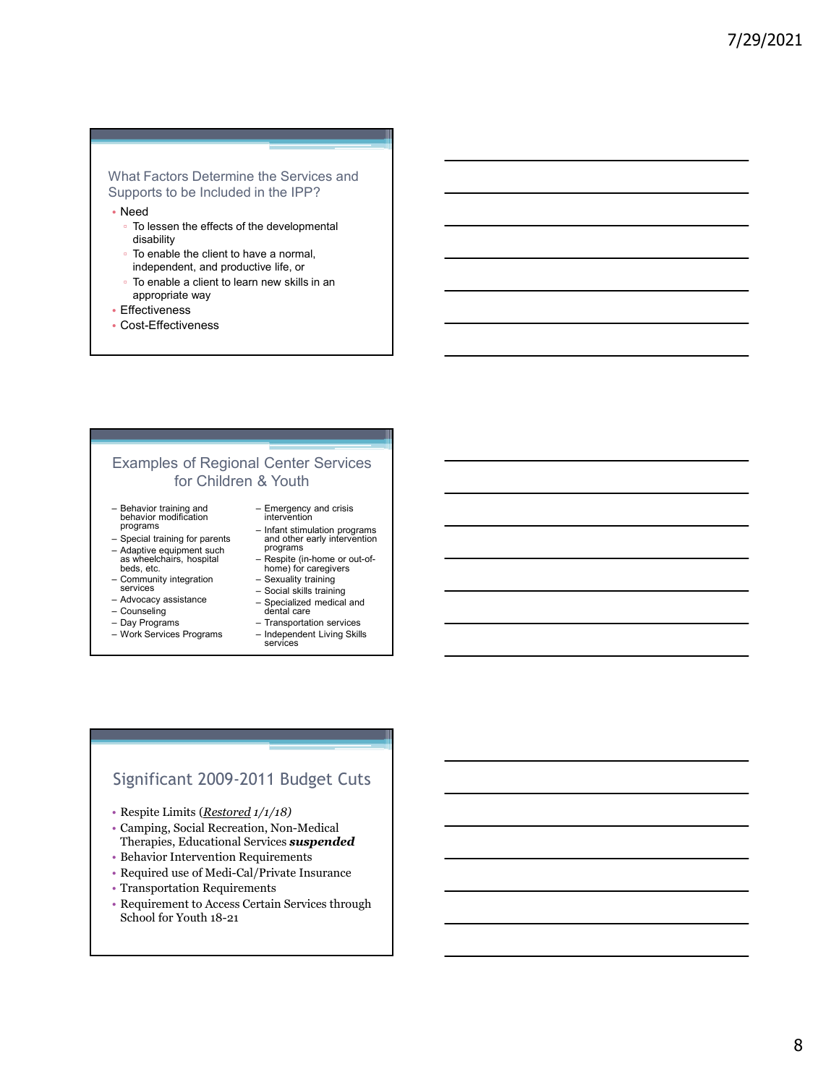### What Factors Determine the Services and Supports to be Included in the IPP?

- Need
	- To lessen the effects of the developmental disability
	- To enable the client to have a normal,
	- independent, and productive life, or
	- To enable a client to learn new skills in an appropriate way
- Effectiveness
- Cost-Effectiveness

# Examples of Regional Center Services for Children & Youth What Factors Determine the Services and<br>
Supports to be Included in the IPP?<br>
• Need<br>
• To lessen the effects of the developmental<br>
• To enable the client to have a normal,<br>
• Effectiveness<br>
• To enable a client to learn n mural tractive becoming the effects of the developmental<br>
scheptors to be included in the IPP?<br>
• Need<br>
• To enable the client to have a normal,<br>
independent, and productive life, or<br>
• To enable a client to learn new skil Supports to be included in the IPP?<br>
• Ne of the developmental<br>
• To leasen the effects of the developmental<br>
• To enable the client to have a normal,<br>
• To enable the client to learn new skills in an<br>
• appropriate way<br>
• - To leasen the effects of the developmental<br>
disability<br>
- To enable the client to have a normal,<br>
independent, and productive life, or<br>
- To enable a client to learn new skills in an<br>
appropriate way<br>
- Effectiveness<br>
 via the client to have a normal,<br>
in To enable the client to learn new skills in an<br>
appropriate way<br>
Forecluveness<br>
Forecluveness<br>
Cost-Effectiveness<br>
Cost-Effectiveness<br>
for Children & Youth<br>
Examples of Regional Center - To enable the client to have a normal,<br>
independent, and productive life, or<br>
- To enable a client to learn new skills in an<br>
epropriate way<br>
- Effectiveness<br>
- Cost-Effectiveness<br>
- Cost-Effectiveness<br>
- for Children & independent, and productive life, or<br>
For enable a client to learn new skills in an<br>
appropriate way<br>
Fifectiveness<br>
Cost-Effectiveness<br>
for Children & Youth<br>
From Children & Youth<br>
Pehavior runding and contract the presen - To enable a client to learn new skills in an<br>
e Effectiveness<br>
- Cost-Effectiveness<br>
- Cost-Effectiveness<br>
- Social Center Services<br>
- Social Center Services<br>
- Social training and<br>
- Energency and crisis<br>
programs<br>
- Sp the Services and<br>in the IPP?<br>wive life, or<br>we a normal,<br>we skills in an<br>new skills in an<br>and skills in an<br>and other early independent<br>and other early independent<br>and other early independent<br>Rome) for caregives<br>Rome) for ca the Services and<br>
in the IPP?<br>
e developmental<br>
we a normal,<br>
we skills in an<br>
new skills in an<br>
<br>
<br>
Center Services<br>
& Youth<br>
Freegency and crisis<br>
and other early intervention<br>
and other early intervention<br>
and other ear ie developmental<br>vie ile, or<br>in-home skills in an<br>new skills in an<br>all control of the state (in an all control of the state of the state of the state in<br>the vertice of the state interaction or options<br>interaction of progra ie developmental<br>view life, or<br>tive life, or<br>mew skills in an a<br>mew skills in an a<br>skills in an a<br>skills in an a<br>metal strukture of the straining of the straining of the straining of the straining programs<br>and other early ve a normal,<br>wive life, or<br>hever show skills in an<br>above skills in an<br> $\&$  Youth<br> $\&$  Youth<br> $\frac{1}{\text{Im} \times \text{Im} \times \text{Im} \times \text{Im} \times \text{Im} \times \text{Im} \times \text{Im} \times \text{Im} \times \text{Im} \times \text{Im} \times \text{Im} \times \text{Im} \times \text{Im} \times \text{Im} \times \text{Im} \times \text{Im} \times \text{Im} \times \text{Im}$ view Iffe, or<br>
intervalse intervalses and the specific state of the specifical and the specifical and chemical and chemical and other early intervention<br>
and other early intervention<br>
and other early intervention<br>
and othe inversion services<br>
Transportation services<br>
Services<br>
Services<br>
Services<br>
Services<br>
Services<br>
and other early intervantion<br>
and other early intervantion<br>
programs<br>
Frans time of the control of the control<br>
Fransportation new skills in an<br>
UCenter Services<br>
& Youth<br>
Emergency and crisis<br>
intervention<br>
Independent Independent<br>
Independent Independent<br>
and other early intervention<br>
Programs<br>
Programs<br>
Programs<br>
— Specific (in-brow extraction<br> Examples of Regional Center Services<br>
• For Children & Youth – Ferregery and orisis<br>
beginnes and  $\frac{1}{\sqrt{2}}$ <br>  $\frac{1}{\sqrt{2}}$ <br>  $\frac{1}{\sqrt{2}}$ <br>  $\frac{1}{\sqrt{2}}$ <br>  $\frac{1}{\sqrt{2}}$ <br>  $\frac{1}{\sqrt{2}}$ <br>  $\frac{1}{\sqrt{2}}$ <br>  $\frac{1}{\sqrt{2}}$ <br>  $\frac{1}{\sqrt{2}}$

- Behavior training and<br>behavior modification<br>programs programs
- Adaptive equipment such<br>as wheelchairs, hospital
- beds, etc. beds, etc. hoope) for caregive<br>- Community integration Sexuality training services <br>
— Social skills training
- 
- 
- 
- 
- Emergency and crisis<br>intervention
- and other early intervention **that** programs
- Respite (in-home or out-of-<br>home) for caregivers
- 
- 
- Specialized medical and<br>dental care<br>- Transportation services
- - Independent Living Skills<br>services

### Significant 2009-2011 Budget Cuts

- 
- Therapies, Educational Services suspended
- Behavior Intervention Requirements
- Required use of Medi-Cal/Private Insurance
- Transportation Requirements
- Requirement to Access Certain Services through School for Youth 18-21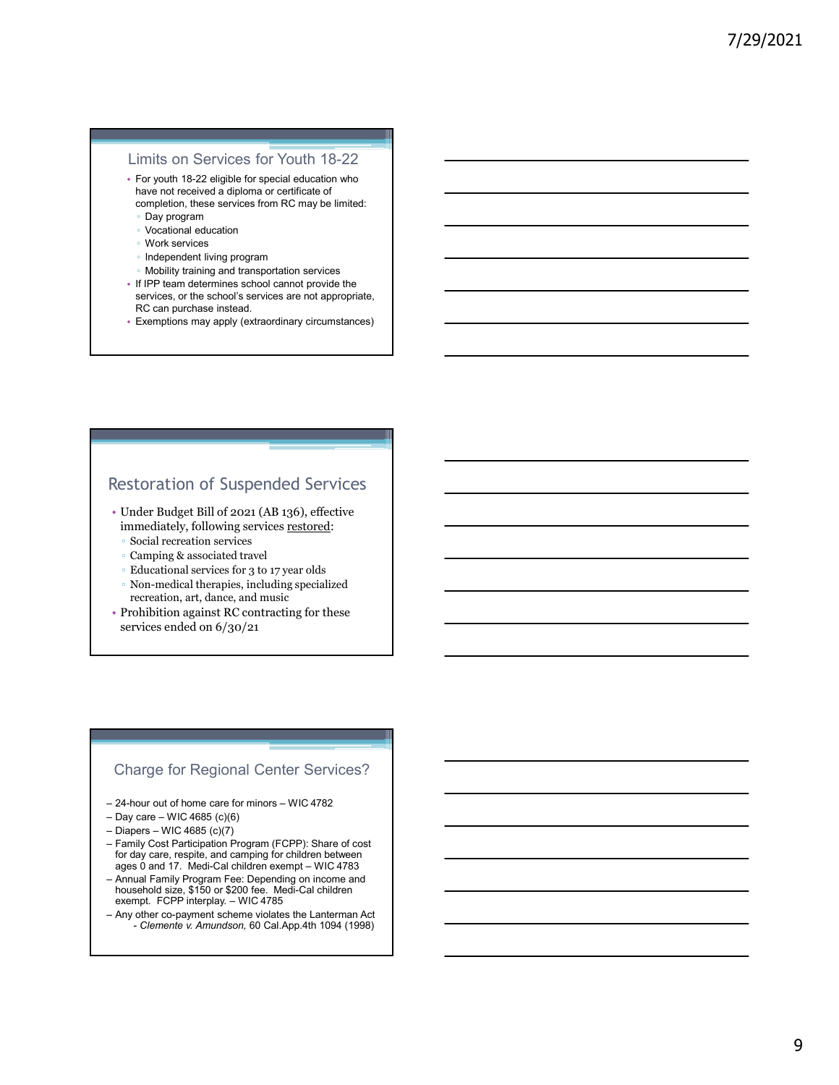### Limits on Services for Youth 18-22

- For youth 18-22 eligible for special education who have not received a diploma or certificate of completion, these services from RC may be limited:
	- Day program
	- Vocational education
	- Work services
	- Independent living program
	- Mobility training and transportation services
- If IPP team determines school cannot provide the services, or the school's services are not appropriate, RC can purchase instead.
- Exemptions may apply (extraordinary circumstances)

### Restoration of Suspended Services

- Under Budget Bill of 2021 (AB 136), effective immediately, following services restored:
	- Social recreation services<br>◦ Camping & associated travel
	-
	-
	- Educational services for 3 to 17 year olds<br>◦ Non-medical therapies, including specialized recreation, art, dance, and music
- Prohibition against RC contracting for these services ended on 6/30/21

### Charge for Regional Center Services?

- 
- 
- 
- Frame distributed Services<br>
2018 remained to frame and the structure in the structure of the structure of the structure server of the structure of the care for minors expected to the care for minors expected to the care fo Restoration of Suspended Services<br>
• Under Budget Bill of 2021 (AB 136), effective<br>
immediately, following services restored:<br>
• Social recreation services<br>
• Educational services for 3 to 17 year olds<br>
• Ran-mediat therap Restoration of Suspended Services<br>
• Under Budget Bill of 2021 (AB 136), effective<br>
immediately, following services <u>restored:</u><br>
• Social recreation services restored:<br>
• Camping & associated travel<br>
• Non-medical chrengie rest.Ura d.Lloft Of Data Participation Services<br>
immediately, following services restored:<br>
Social recreation services<br>
Example & social deteration services<br>
Educational services for 3 to 17 year olds<br>
Participation and mu - Family Cost Participation Program (FCPP): Share of cost<br>for day care, respite, and camping for children between<br>ages 0 and 17. Medi-Cal children exempt - WIC 4783 Under Budget Bill of 2001 (AB 10) (networks<br>
"immediately, following services restored:<br>
"Camping & associated travel<br>
"Camping & associated travel<br>
"Camping & associated travel<br>
Non-medical thermos, inducting specialized immediately, following services <u>restored</u>:<br>
Scain lerencation services<br>
Camping & associated travel<br>
Educational Services for 3 to 17 year olds<br>
Non-medical therapies, including specialized<br>
Prohibition against RC contrac excare recention services for 3 to 17 year olds<br>
Example & associated travel<br>
Exerce for 3 to 17 year olds<br>
For a medical therape, is, including specialized<br>
Prohibition against RC contracting for these<br>
services ended on - Any other co-payment scheme violation and the method of the services ended on 6/30/21<br>
- Prohibition against RC contracting for these<br>
services ended on 6/30/21<br>
- Prohibition against RC contracting for these<br>
services e
- household size, \$150 or \$200 fee. Medi-Cal children
-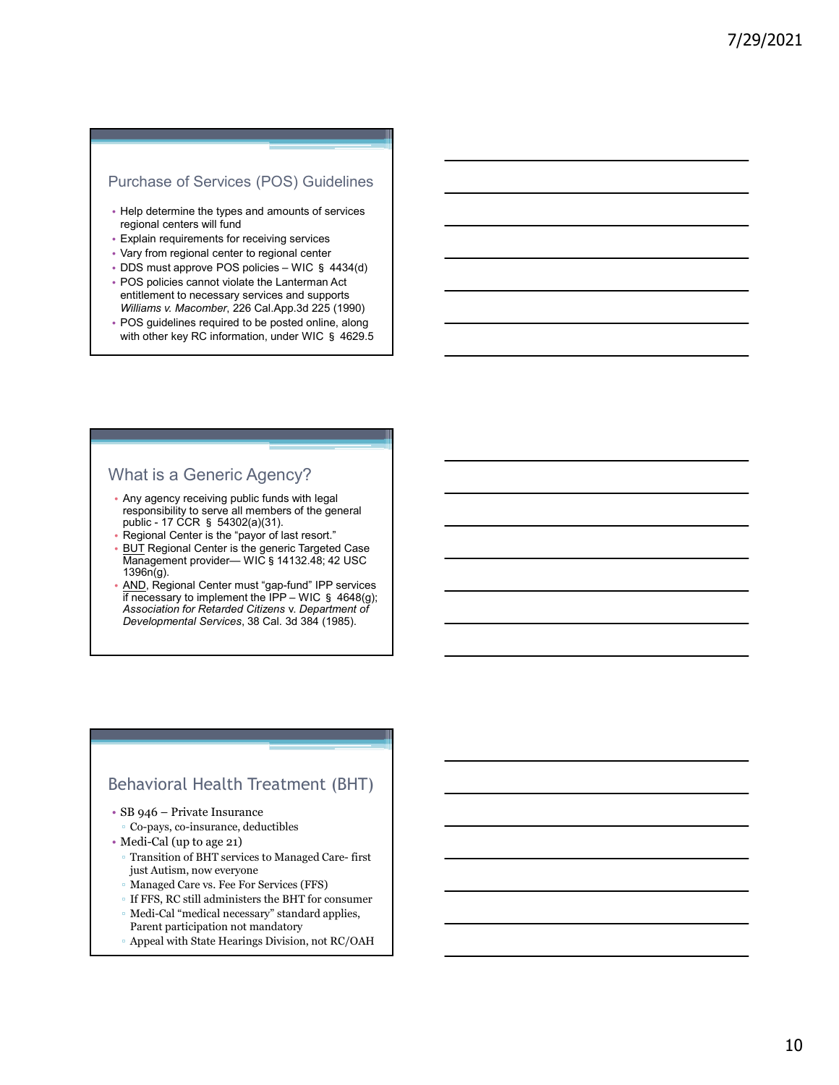### Purchase of Services (POS) Guidelines

- Help determine the types and amounts of services regional centers will fund
- Explain requirements for receiving services
- Vary from regional center to regional center
- 
- Purchase of Services (POS) Guidelines<br>• Heip determine the types and amounts of services<br>• regional centers will und<br>• Explain requirements for receiving services<br>• DDS must approve POS policies WIC § 4434(d)<br>• POS pol entitlement to necessary services and supports Williams v. Macomber, 226 Cal.App.3d 225 (1990)
- POS guidelines required to be posted online, along with other key RC information, under WIC § 4629.5

### What is a Generic Agency?

- Any agency receiving public funds with legal responsibility to serve all members of the general<br>public - 17 CCR § 54302(a)(31).
- 
- 1396n(g).
- Purchase of Services (POS) Guidelines<br>
regional centers will fund<br>
regional center to regional center<br>
Explain requirements for receiving services<br>
Vary from regional center to regional center<br>
extreme to recessary because religio determine the types and amounts of services<br>egional centers will hund<br>many from regional center to regional center<br>— WIC§ policies – WIC§ 4434(d)<br>ODS must approve POS policies – WIC§ 4434(d)<br>will liment to necessar AND, Regional Center must "gap-fund" IPP services if necessary to implement the IPP – WIC § 4648(g); xplarin requires in the receiving services and supports of the properties of the SMS must approve POS points and supports of the system of the INPS must approve the method of the INPS must approve the necessary services a Association for Retarded Citizens v. Department of Developmental Services, 38 Cal. 3d 384 (1985). What is a Generic Agency?<br>
• Any agency receiving public funds with legal<br>
responsibility to serve all members of the general<br>
• Regional Center is the "payor of latters of..."<br>
• Burn Regional Center is the generic Target responsibility to save a dimension of the general<br>public - 17 CCR is passide, and more than the properties of the general<br>Burnal Center is the praetic Targeted Case<br>Burnal Center is the spence of Targeted Case<br>AMO (Baginer

### Behavioral Health Treatment (BHT)

- 
- Co-pays, co-insurance, deductibles
- Medi-Cal (up to age 21)
	- just Autism, now everyone
	- Managed Care vs. Fee For Services (FFS)
	- If FFS, RC still administers the BHT for consumer
	- Medi-Cal "medical necessary" standard applies, Parent participation not mandatory
	- Appeal with State Hearings Division, not RC/OAH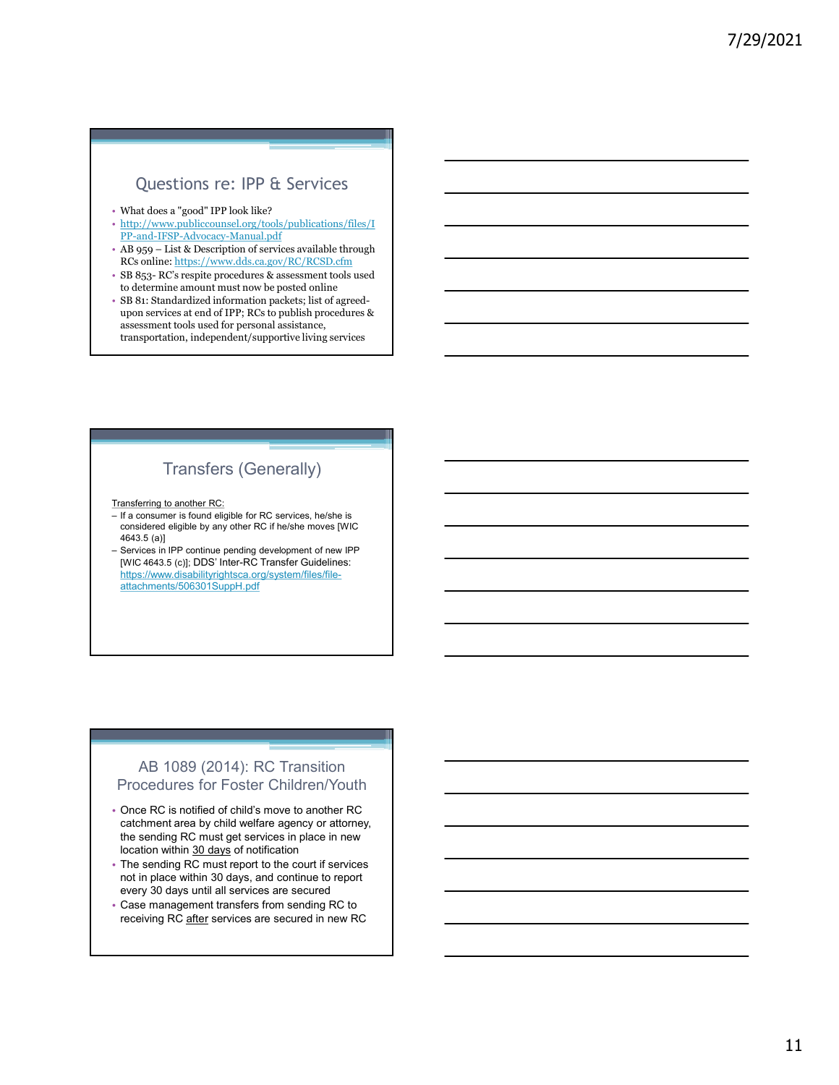### Questions re: IPP & Services

- What does a "good" IPP look like?
- http://www.publiccounsel.org/tools/publications/files/I PP-and-IFSP-Advocacy-Manual.pdf
- RCs online: https://www.dds.ca.gov/RC/RCSD.cfm
- to determine amount must now be posted online
- **CUESTIONS FE:** IPP & Services<br>
 What does a "good" PP look like?<br>
 http://www.publicecons- $\text{Lory}$ /tools/publications/files/I<br>
 Phend-IFSP-Advocacy-Manual,pdf<br>
 AB 959 List & Description of services available thro **Questions re:** IPP & Services<br>
• What does a "good" IPP look like?<br>
• http://www.publicecunsel.org/tools/publications/files/I<br>
• Http://www.publicecunsel.org/tools/publications/files/I<br>
• Pa-and-IFSP-Advocacy-Manual.pdf<br> • SB 81: Standardized information packets; list of agreedupon services at end of IPP; RCs to publish procedures & assessment tools used for personal assistance, transportation, independent/supportive living services – Questions re: IPP θ θ Services<br>
• What does a "good" PP look like?<br>
• http://www.publicocourse.lorg/tools/publications/files/I<br>
<u>PP-and-IFSP-Advococy-Manual.pdf</u><br>
– RC septiep procedures & assessment tools used<br>
τo de – What does a "good" IPP look like?<br>
http://www.publiccounsel.org/tools/publications/files/I<br>
IPP-and-HSP-Advocacy-Manual.pdf<br>
A B 959 – List & Description of services available through<br>
R S B 353- ICS s respite procedures

### Transfers (Generally)

Transferring to another RC:

- considered eligible by any other RC if he/she moves [WIC 4643.5 (a)]
- Services in IPP continue pending development of new IPP<br>[WIC 4643.5 (c)]; DDS' Inter-RC Transfer Guidelines: https://www.disabilityrightsca.org/system/files/fileattachments/506301SuppH.pdf

### AB 1089 (2014): RC Transition Procedures for Foster Children/Youth

- Once RC is notified of child's move to another RC catchment area by child welfare agency or attorney, the sending RC must get services in place in new<br>location within  $\underline{30 \text{ days}}$  of notification andering to another RC<br>
if a screame is found edipties for RC services, heldes is<br>
devias in PP contume perimany developement of now iPP<br>
Revices in PP contume perimany developement of now iPP<br>
INtro-X/www.dissilliftvartis recent and a complete the Character Guidelins:<br>This accepts with the Character Guidelins and the statements<br>Social Supplements are are secured in the statements of the statements<br>of a complement and the complement of the s
- The sending RC must report to the court if services not in place within 30 days, and continue to report every 30 days until all services are secured
- Case management transfers from sending RC to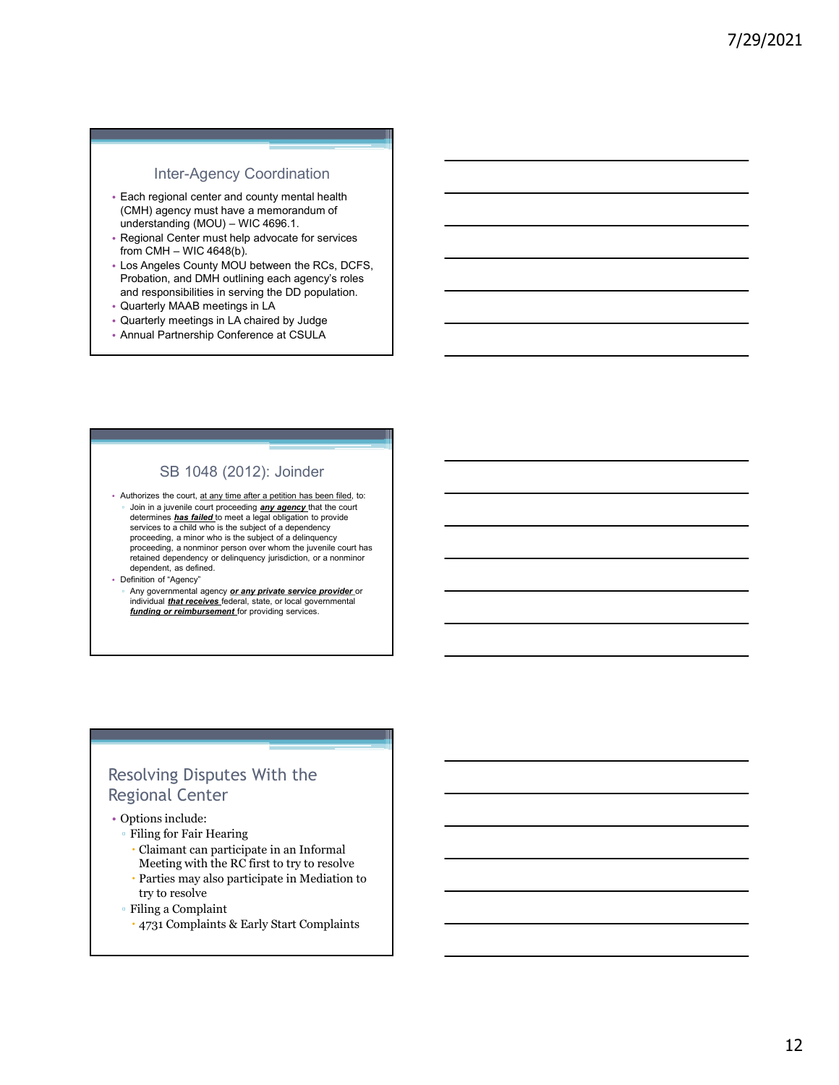### Inter-Agency Coordination

- Each regional center and county mental health (CMH) agency must have a memorandum of
- 
- Inter-Agency Coordination<br>
Fach regional center and county mental health<br>
(CMH) agency must have a memorandum of<br>
understanding (MOU) WIC 4696.1.<br>
Fegional Center must help advocate for services<br>
from CMH WIC 4648(b).<br> Inter-Agency Coordination<br>Fach regional center and county mental health<br>
(CMH) agency must have a memorandum of<br>
understanding (MOU) – WIC 4696.1.<br>
Fregional Center must help advocate for services<br>
from CMH – WIC 4648(b).<br> Probation, and DMH outlining each agency's roles and responsibilities in serving the DD population.
- Quarterly MAAB meetings in LA
- Quarterly meetings in LA chaired by Judge
- Annual Partnership Conference at CSULA

### SB 1048 (2012): Joinder

• Authorizes the court, at any time after a petition has been filed, to: Join in a juvenile court proceeding **any agency** that the court determines **has failed** to meet a legal obligation to provide services to a child who is the subject of a dependency proceeding, a minor who is the subject of a delinquency proceeding, a nonminor person over whom the juvenile court has retained dependency or delinquency jurisdiction, or a nonminor dependent, as defined.

• Definition of "Agency"

Any governmental agency or any private service provider or individual that receives federal, state, or local governmental funding or reimbursement for providing services.

### Resolving Disputes With the Regional Center

- Options include:
	- Filing for Fair Hearing
		- Claimant can participate in an Informal
	- Meeting with the RC first to try to resolve Parties may also participate in Mediation to try to resolve
	- Filing a Complaint
		- 4731 Complaints & Early Start Complaints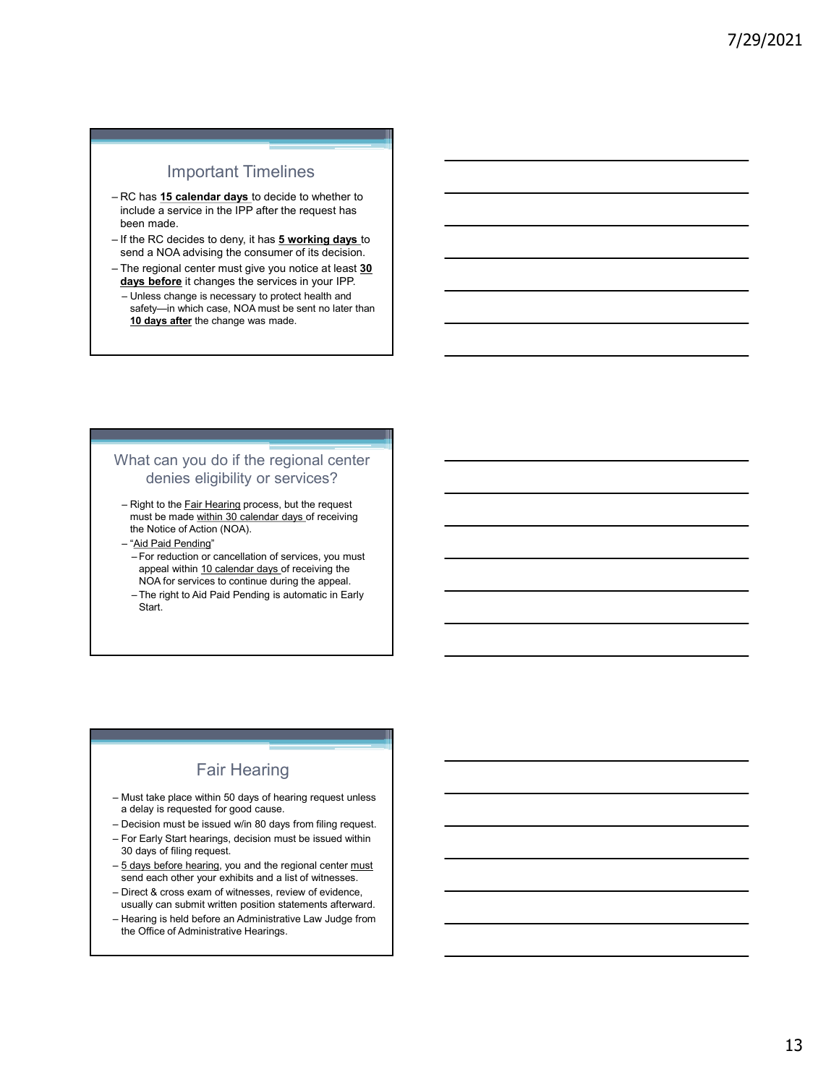### Important Timelines

- metrical dependent of the state of the state of the state of the state of the state of the state of the state of the state of the RC decides to deny, it has **5 working days** to send a NOA advising the consumer of its decis include a service in the IPP after the request has been made.
- send a NOA advising the consumer of its decision.
- days before it changes the services in your IPP.
- Important Timelines<br>– RC has 15 calendar days to decide to whether to<br>include a service in the IPP after the request has<br>been made.<br>— If the RC decides to deny, it has 5 working days to<br>send a NOA advising the consumer of my and the regional center must give you notice at least and the regional center must give the regional center must give you notice at least 30<br>
and a Nova single you notice at least 30<br>
The regional center must give you n Manuscript Controllers and the University of the service in the UPP after the request has been made.<br>
Dealth a service in the UPP after the request has<br>
been made.<br>
Seen an AOA advising the consumer of its decision.<br>
The r safety-in which case, NOA must be sent no later than 10 days after the change was made. FRC has <u>15 calendar days</u> to decide to whether to<br>
module a service in the IPP after the request has<br>
been made.<br>
the RC decides to deny, it has **5 working days** to<br>
the RC decides to deny, it has **5 working days** to<br>
The RC has 15 calendar days to decide to whether to<br>
mode a service in the IPP after the request has<br>
the RC decides to deny, it has 5 working days to<br>
seen a NOA advising the consumer of its decision.<br>
The regional center mus First **In Calcular day** to because to where the request has<br>the RC decides to deny, it has **5 working days** to<br>the reduction of the consumer of its decision.<br>The regional center must give you notice at least **30**<br>the regio the RC decides to deny, it has 5 working days to deny the RC decision.<br>
India NOA advising the consumer of its decision.<br>
The right the right to the second in your price,<br>
the right to the second in the consults of the sec

### What can you do if the regional center denies eligibility or services?

- must be made within 30 calendar days of receiving the Notice of Action (NOA). What can you do if the regional center<br>
denies eligibility or services?<br>
- Right to the <u>Fair Hearing</u> process, but the request<br>
must be made within 30 calendar days of receiving<br>
- "Ad Paid Pending"<br>
- The reduction or ca dentity of services?<br>
dentities eligibility or services?<br>
— Right to the Fair Hearing process, but the request<br>
must be made within 30 dalendar days of receiving<br>
the Notice of Action (NOA).<br>
— "Aid Paid Pending"<br>
— For re Uterlines erigin)<br>
This to the Fair Hearling process, but the request<br>
must be made within 30 calendar days of receiving<br>
the Notice of Action (NOA).<br>
The right to Aid Paid Pending<br>
appeal within 10 calendar days of receiv
	-
- appeal within 10 calendar days of receiving the NOA for services to continue during the appeal.<br>- The right to Aid Paid Pending is automatic in Early Fronce Internation Contents and the regional center of Action (NOA).<br>
The Notice of Action (NOA).<br>
The reduction or cancellation of services, you must<br>
appeal within 10 calendar days of receiving the<br>
NOA for services to c - "Aid Paid Pending"<br>
- Foreduction or cancellation of services, you must<br>
appeal within 10 calendar days of receiving the<br>
NOA for services to continue during the appeal.<br>
- The right of Paid Pending is automatic in Earl
	- Start.

### Fair Hearing

- a delay is requested for good cause.
- 
- 30 days of filing request.
- send each other your exhibits and a list of witnesses.
- usually can submit written position statements afterward.
- more than the content of the model of the model of the model of the More and the More of the Martin Start.<br>
The right to Add Paid Pending is automatic in Early<br>
Start.<br>
Start.<br>
Start.<br>
The right of Administrative Cause.<br>
T the Office of Administrative Hearings.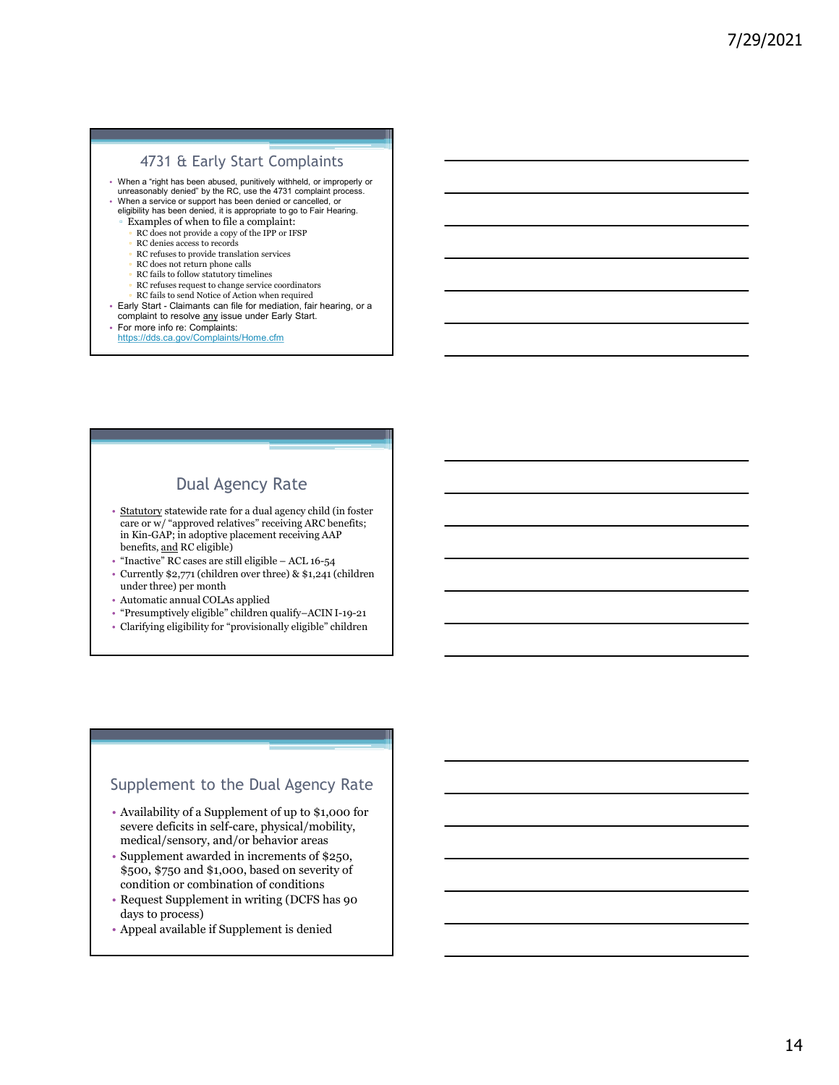### 4731 & Early Start Complaints

- When a "right has been abused, punitively withheld, or improperly or unreasonably denied" by the RC, use the 4731 complaint process. 4731  $\hat{\textbf{t}}$  Early Start Complaints<br>• When a "right has been abused, punitively with<br>telu crimesophy denote by the RC, use the 4731 complaint process.<br>• When a service or support has been denied or canceled, or<br>• When 4731  $E$   $E$  any  $V$  Start.  $\overline{C}$  complaints with the resolved and a shock purifields with the resolved by the resolution of the resolution correction of the resolution of  $\overline{C}$  complexes an expected in the superpos
- When a service or support has been denied or cancelled, or eligibility has been denied, it is appropriate to go to Fair Hearing.
	- Examples of when to file a complaint:
	- RC does not provide a copy of the IPP or IFSP
	- RC denies access to records ▫ RC refuses to provide translation services
	- RC does not return phone calls
	-
	- RC fails to follow statutory timelines<br>RC refuses request to change service coordinators
	-
- RC fails to send Notice of Action when required<br>• Early Start Claimants can file for mediation, fair hearing, or a
- 
- 

### https://dds.ca.gov/Complaints/Home.cfm

### Dual Agency Rate

- 4731 & Early Start Complaints<br>
when a right has been also<br>ed, punitively withed, use the 473 complaint process.<br>
engine where due to find a complaint:<br>  $\therefore$  Kicken and there is a superceluse to go be enter the summer<br>  $\$ care or w/ "approved relatives" receiving ARC benefits; in Kin-GAP; in adoptive placement receiving AAP ure<br>ancestrate by a set of the set of the set of the set of the set of the set of the set of the set of the set of the set of the set of the set of the set of the set of the set of the set of the set of the set of the set
- 
- Currently \$2,771 (children over three) & \$1,241 (children under three) per month
- Automatic annual COLAs applied
- "Presumptively eligible" children qualify–ACIN I-19-21
- Clarifying eligibility for "provisionally eligible" children

### Supplement to the Dual Agency Rate

- Availability of a Supplement of up to \$1,000 for severe deficits in self-care, physical/mobility, medical/sensory, and/or behavior areas
- Supplement awarded in increments of \$250, \$500, \$750 and \$1,000, based on severity of condition or combination of conditions
- Request Supplement in writing (DCFS has 90 days to process)
- Appeal available if Supplement is denied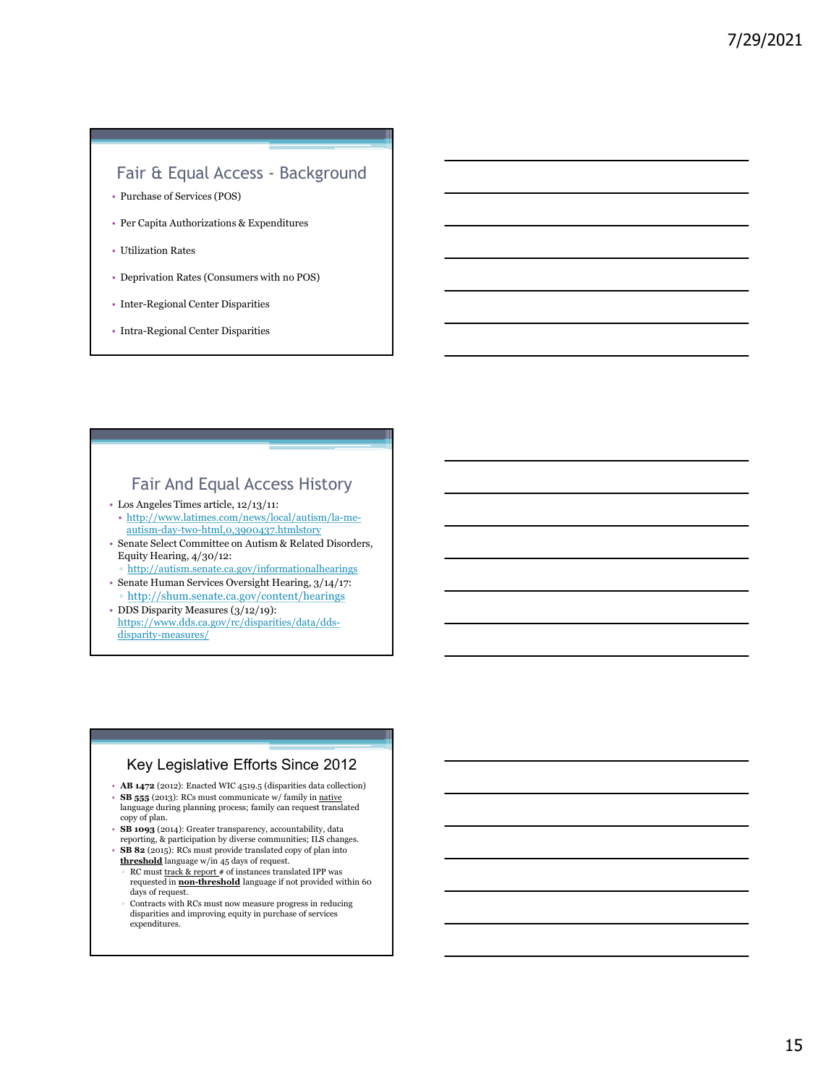# Fair & Equal Access - Background<br>Purchase of Services (POS)<br>Per Capita Authorizations & Expenditures<br>Utilization Rates

- Purchase of Services (POS)
- Per Capita Authorizations & Expenditures
- Utilization Rates
- Deprivation Rates (Consumers with no POS)
- Inter-Regional Center Disparities
- Intra-Regional Center Disparities

### Fair And Equal Access History

- Los Angeles Times article, 12/13/11:
- http://www.latimes.com/news/local/autism/la-meautism-day-two-html,0,3900437.htmlstory
- Senate Select Committee on Autism & Related Disorders, Equity Hearing, 4/30/12:
	- http://autism.senate.ca.gov/informationalhearings
- Senate Human Services Oversight Hearing, 3/14/17: ▫ http://shum.senate.ca.gov/content/hearings • DDS Disparity Measures (3/12/19):
- https://www.dds.ca.gov/rc/disparities/data/ddsdisparity-measures/

### Key Legislative Efforts Since 2012

- AB 1472 (2012): Enacted WIC 4519.5 (disparities data collection) • **SB 555** (2013): RCs must communicate w/ family in <u>native</u><br>language during planning process; family can request translated
- copy of plan.<br>• SB 1093 (2014): Greater transparency, accountability, data<br>reporting, & participation by diverse communities; ILS changes.
- **SB 82** (2015): RCs must provide translated copy of plan into threshold language w/in 45 days of request.
- RC must track & report # of instances translated IPP was requested in non-threshold language if not provided within 60 days of request.
- Contracts with RCs must now measure progress in reducing disparities and improving equity in purchase of services expenditures.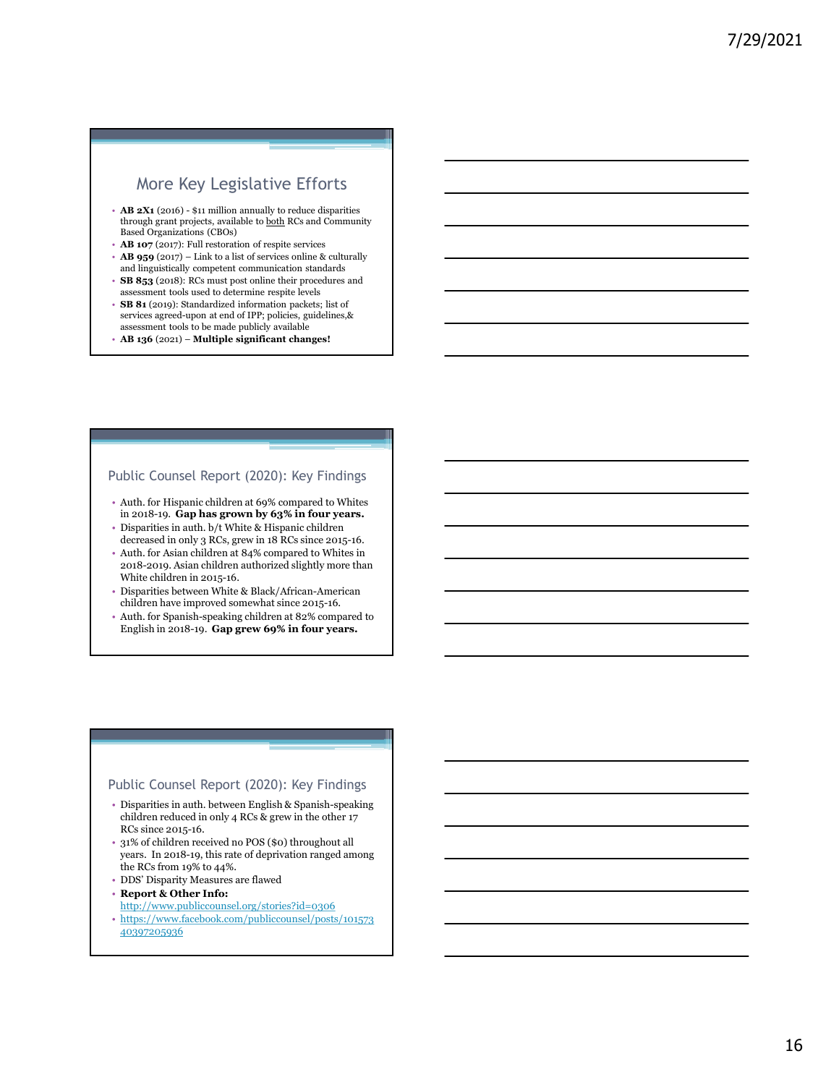### More Key Legislative Efforts

- **EXECUTE:**<br>
 AB 2X1 (2016) \$11 million annually to reduce disparities<br>
through grant projects, available to <u>both</u> RCs and Community<br>
Based Organizations (CBOs)<br>
 **AB 107** (2017): Full restoration of respite services<br> **Transfer and the matrix of the system of the system of the system of the system of the system of the system of the system of the projects, available to <u>both</u> RCs and Community blaned Organizations (CBO<sub>0</sub>)<br>Based Organiz** through grant projects, available to <u>both</u> RCs and Community Based Organizations (CBOs) More Key Legislative Efforts<br>
AB 2X<sub>1</sub> (2005) – \$11 million annually to reduce disparities<br>
through grant projets, available to both RCs and Community<br>
Based Organizations (CBOs)<br>
A B 197 (2027) – Ital to a list of service
- **AB 107** (2017): Full restoration of respite services<br>• **AB 959** (2017) Link to a list of services online & culturally
- and linguistically competent communication standards
- SB 853 (2018): RCs must post online their procedures and assessment tools used to determine respite levels
- SB 81 (2019): Standardized information packets; list of services agreed-upon at end of IPP; policies, guidelines,& assessment tools to be made publicly available
- AB 136 (2021) Multiple significant changes!

### Public Counsel Report (2020): Key Findings

- Auth. for Hispanic children at 69% compared to Whites in 2018-19. Gap has grown by 63% in four years.
- Disparities in auth. b/t White & Hispanic children decreased in only 3 RCs, grew in 18 RCs since 2015-16.
- Auth. for Asian children at 84% compared to Whites in 2018-2019. Asian children authorized slightly more than White children in 2015-16.
- Disparities between White & Black/African-American children have improved somewhat since 2015-16.
- Auth. for Spanish-speaking children at 82% compared to English in 2018-19. Gap grew 69% in four years.

### Public Counsel Report (2020): Key Findings

- Disparities in auth. between English & Spanish-speaking children reduced in only 4 RCs & grew in the other 17 RCs since 2015-16.
- 31% of children received no POS (\$0) throughout all years. In 2018-19, this rate of deprivation ranged among the RCs from 19% to 44%.
- DDS' Disparity Measures are flawed
- Report & Other Info:
- http://www.publiccounsel.org/stories?id=0306
- https://www.facebook.com/publiccounsel/posts/101573 40397205936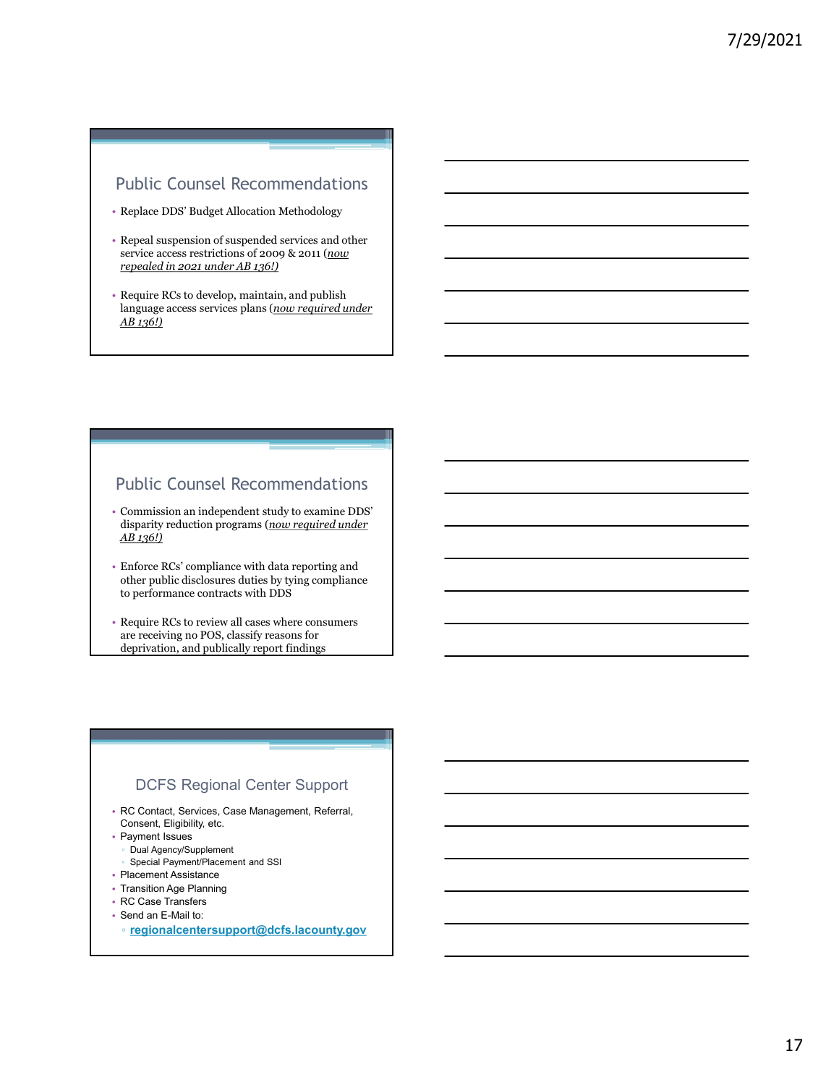### Public Counsel Recommendations

- Replace DDS' Budget Allocation Methodology
- Repeal suspension of suspended services and other service access restrictions of 2009 & 2011 (now repealed in 2021 under AB 136!)
- Require RCs to develop, maintain, and publish language access services plans (now required under AB 136!)

### Public Counsel Recommendations

- Commission an independent study to examine DDS' disparity reduction programs (now required under AB 136!)
- Enforce RCs' compliance with data reporting and other public disclosures duties by tying compliance to performance contracts with DDS
- Require RCs to review all cases where consumers are receiving no POS, classify reasons for deprivation, and publically report findings

### DCFS Regional Center Support

- RC Contact, Services, Case Management, Referral, Consent, Eligibility, etc.
- Payment Issues
	- Dual Agency/Supplement
	- Special Payment/Placement and SSI
- Placement Assistance
- Transition Age Planning
- RC Case Transfers
- Send an E-Mail to:
	- regionalcentersupport@dcfs.lacounty.gov